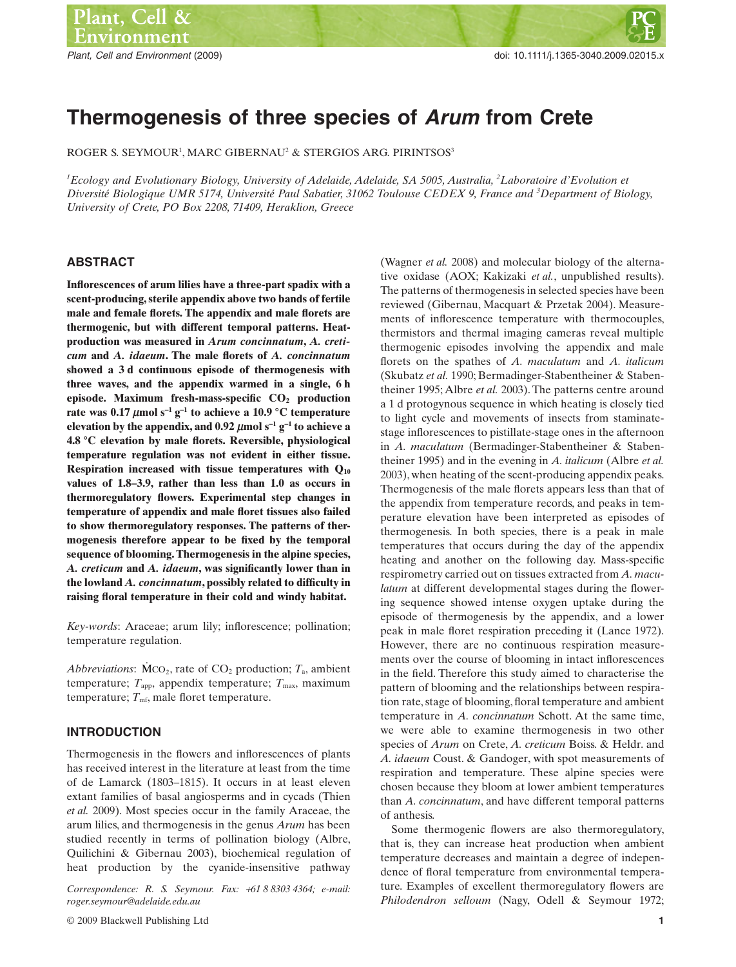# **Thermogenesis of three species of** *Arum* **from Crete**

ROGER S. SEYMOUR<sup>1</sup>, MARC GIBERNAU<sup>2</sup> & STERGIOS ARG. PIRINTSOS<sup>3</sup>

*1 Ecology and Evolutionary Biology, University of Adelaide, Adelaide, SA 5005, Australia, <sup>2</sup> Laboratoire d'Evolution et Diversité Biologique UMR 5174, Université Paul Sabatier, 31062 Toulouse CEDEX 9, France and <sup>3</sup> Department of Biology, University of Crete, PO Box 2208, 71409, Heraklion, Greece*

## **ABSTRACT**

**Inflorescences of arum lilies have a three-part spadix with a scent-producing, sterile appendix above two bands of fertile male and female florets. The appendix and male florets are thermogenic, but with different temporal patterns. Heatproduction was measured in** *Arum concinnatum***,** *A. creticum* **and** *A. idaeum***. The male florets of** *A. concinnatum* **showed a 3 d continuous episode of thermogenesis with three waves, and the appendix warmed in a single, 6 h episode. Maximum fresh-mass-specific CO2 production** rate was  $0.17 \mu \text{mol s}^{-1} \text{g}^{-1}$  to achieve a  $10.9 \text{°C}$  temperature **elevation by the appendix, and 0.92**  $\mu$ **mol s<sup>-1</sup> g<sup>-1</sup> to achieve a 4.8 °C elevation by male florets. Reversible, physiological temperature regulation was not evident in either tissue. Respiration increased with tissue temperatures with Q10 values of 1.8–3.9, rather than less than 1.0 as occurs in thermoregulatory flowers. Experimental step changes in temperature of appendix and male floret tissues also failed to show thermoregulatory responses. The patterns of thermogenesis therefore appear to be fixed by the temporal sequence of blooming. Thermogenesis in the alpine species,** *A. creticum* **and** *A. idaeum***, was significantly lower than in the lowland** *A. concinnatum***, possibly related to difficulty in raising floral temperature in their cold and windy habitat.**

*Key-words*: Araceae; arum lily; inflorescence; pollination; temperature regulation.

*Abbreviations*:  $\dot{M}CO_2$ , rate of  $CO_2$  production;  $T_a$ , ambient temperature;  $T_{\text{app}}$ , appendix temperature;  $T_{\text{max}}$ , maximum temperature;  $T_{\text{mf}}$ , male floret temperature.

# **INTRODUCTION**

Thermogenesis in the flowers and inflorescences of plants has received interest in the literature at least from the time of de Lamarck (1803–1815). It occurs in at least eleven extant families of basal angiosperms and in cycads (Thien *et al.* 2009). Most species occur in the family Araceae, the arum lilies, and thermogenesis in the genus *Arum* has been studied recently in terms of pollination biology (Albre, Quilichini & Gibernau 2003), biochemical regulation of heat production by the cyanide-insensitive pathway

*Correspondence: R. S. Seymour. Fax:* +*61 8 8303 4364; e-mail: roger.[seymour@adelaide.edu.au](mailto:seymour@adelaide.edu.au)*

(Wagner *et al.* 2008) and molecular biology of the alternative oxidase (AOX; Kakizaki *et al.*, unpublished results). The patterns of thermogenesis in selected species have been reviewed (Gibernau, Macquart & Przetak 2004). Measurements of inflorescence temperature with thermocouples, thermistors and thermal imaging cameras reveal multiple thermogenic episodes involving the appendix and male florets on the spathes of *A. maculatum* and *A. italicum* (Skubatz *et al.* 1990; Bermadinger-Stabentheiner & Stabentheiner 1995; Albre *et al.* 2003). The patterns centre around a 1 d protogynous sequence in which heating is closely tied to light cycle and movements of insects from staminatestage inflorescences to pistillate-stage ones in the afternoon in *A. maculatum* (Bermadinger-Stabentheiner & Stabentheiner 1995) and in the evening in *A. italicum* (Albre *et al.* 2003), when heating of the scent-producing appendix peaks. Thermogenesis of the male florets appears less than that of the appendix from temperature records, and peaks in temperature elevation have been interpreted as episodes of thermogenesis. In both species, there is a peak in male temperatures that occurs during the day of the appendix heating and another on the following day. Mass-specific respirometry carried out on tissues extracted from *A. maculatum* at different developmental stages during the flowering sequence showed intense oxygen uptake during the episode of thermogenesis by the appendix, and a lower peak in male floret respiration preceding it (Lance 1972). However, there are no continuous respiration measurements over the course of blooming in intact inflorescences in the field. Therefore this study aimed to characterise the pattern of blooming and the relationships between respiration rate, stage of blooming, floral temperature and ambient temperature in *A. concinnatum* Schott. At the same time, we were able to examine thermogenesis in two other species of *Arum* on Crete, *A. creticum* Boiss. & Heldr. and *A. idaeum* Coust. & Gandoger, with spot measurements of respiration and temperature. These alpine species were chosen because they bloom at lower ambient temperatures than *A. concinnatum*, and have different temporal patterns of anthesis.

Some thermogenic flowers are also thermoregulatory, that is, they can increase heat production when ambient temperature decreases and maintain a degree of independence of floral temperature from environmental temperature. Examples of excellent thermoregulatory flowers are *Philodendron selloum* (Nagy, Odell & Seymour 1972;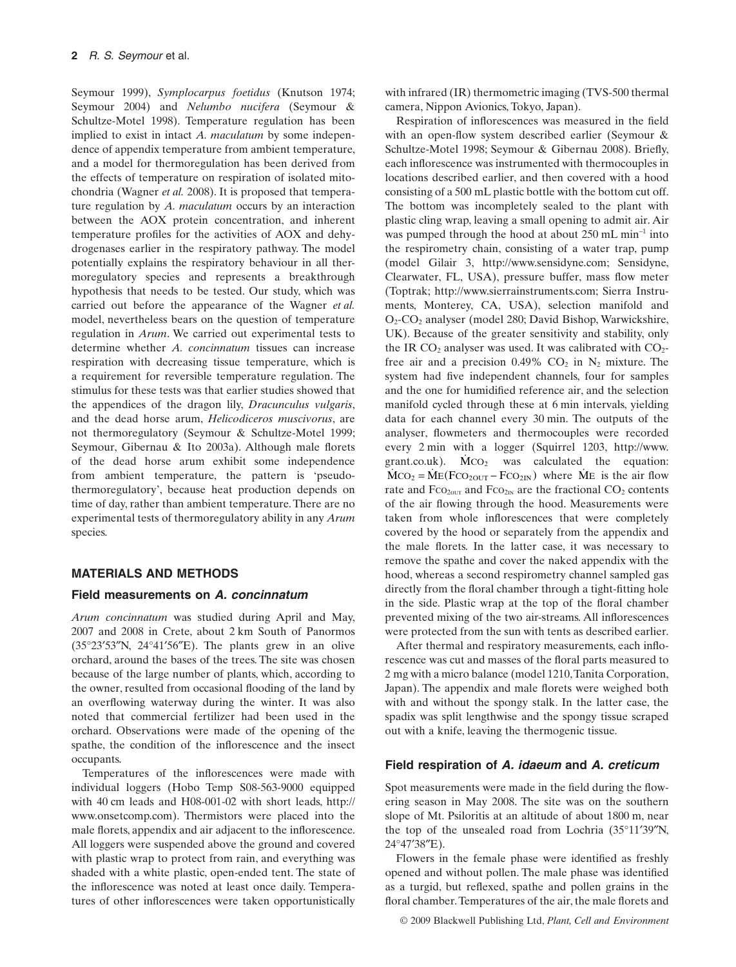Seymour 1999), *Symplocarpus foetidus* (Knutson 1974; Seymour 2004) and *Nelumbo nucifera* (Seymour & Schultze-Motel 1998). Temperature regulation has been implied to exist in intact *A. maculatum* by some independence of appendix temperature from ambient temperature, and a model for thermoregulation has been derived from the effects of temperature on respiration of isolated mitochondria (Wagner *et al.* 2008). It is proposed that temperature regulation by *A. maculatum* occurs by an interaction between the AOX protein concentration, and inherent temperature profiles for the activities of AOX and dehydrogenases earlier in the respiratory pathway. The model potentially explains the respiratory behaviour in all thermoregulatory species and represents a breakthrough hypothesis that needs to be tested. Our study, which was carried out before the appearance of the Wagner *et al.* model, nevertheless bears on the question of temperature regulation in *Arum*. We carried out experimental tests to determine whether *A. concinnatum* tissues can increase respiration with decreasing tissue temperature, which is a requirement for reversible temperature regulation. The stimulus for these tests was that earlier studies showed that the appendices of the dragon lily, *Dracunculus vulgaris*, and the dead horse arum, *Helicodiceros muscivorus*, are not thermoregulatory (Seymour & Schultze-Motel 1999; Seymour, Gibernau & Ito 2003a). Although male florets of the dead horse arum exhibit some independence from ambient temperature, the pattern is 'pseudothermoregulatory', because heat production depends on time of day, rather than ambient temperature. There are no experimental tests of thermoregulatory ability in any *Arum* species.

## **MATERIALS AND METHODS**

#### **Field measurements on** *A. concinnatum*

*Arum concinnatum* was studied during April and May, 2007 and 2008 in Crete, about 2 km South of Panormos (35°23′53″N, 24°41′56″E). The plants grew in an olive orchard, around the bases of the trees. The site was chosen because of the large number of plants, which, according to the owner, resulted from occasional flooding of the land by an overflowing waterway during the winter. It was also noted that commercial fertilizer had been used in the orchard. Observations were made of the opening of the spathe, the condition of the inflorescence and the insect occupants.

Temperatures of the inflorescences were made with individual loggers (Hobo Temp S08-563-9000 equipped with 40 cm leads and H08-001-02 with short leads, [http://](http://www.onsetcomp.com) [www.onsetcomp.com\). T](http://www.onsetcomp.com)hermistors were placed into the male florets, appendix and air adjacent to the inflorescence. All loggers were suspended above the ground and covered with plastic wrap to protect from rain, and everything was shaded with a white plastic, open-ended tent. The state of the inflorescence was noted at least once daily. Temperatures of other inflorescences were taken opportunistically

with infrared (IR) thermometric imaging (TVS-500 thermal camera, Nippon Avionics, Tokyo, Japan).

Respiration of inflorescences was measured in the field with an open-flow system described earlier (Seymour & Schultze-Motel 1998; Seymour & Gibernau 2008). Briefly, each inflorescence was instrumented with thermocouples in locations described earlier, and then covered with a hood consisting of a 500 mL plastic bottle with the bottom cut off. The bottom was incompletely sealed to the plant with plastic cling wrap, leaving a small opening to admit air. Air was pumped through the hood at about  $250$  mL min<sup>-1</sup> into the respirometry chain, consisting of a water trap, pump (model Gilair 3, [http://www.sensidyne.com;](http://www.sensidyne.com) Sensidyne, Clearwater, FL, USA), pressure buffer, mass flow meter (Toptrak; [http://www.sierrainstruments.com;](http://www.sierrainstruments.com) Sierra Instruments, Monterey, CA, USA), selection manifold and O2-CO2 analyser (model 280; David Bishop, Warwickshire, UK). Because of the greater sensitivity and stability, only the IR  $CO<sub>2</sub>$  analyser was used. It was calibrated with  $CO<sub>2</sub>$ free air and a precision  $0.49\%$  CO<sub>2</sub> in N<sub>2</sub> mixture. The system had five independent channels, four for samples and the one for humidified reference air, and the selection manifold cycled through these at 6 min intervals, yielding data for each channel every 30 min. The outputs of the analyser, flowmeters and thermocouples were recorded every 2 min with a logger (Squirrel 1203, [http://www.](http://www) grant.co.uk).  $\dot{M}CO_2$  was calculated the equation:  $\dot{M}CO_2 = \dot{M}E(FCO_{2OUT} - FCO_{2IN})$  where  $\dot{M}E$  is the air flow rate and Fco<sub>2out</sub> and Fco<sub>2IN</sub> are the fractional CO<sub>2</sub> contents of the air flowing through the hood. Measurements were taken from whole inflorescences that were completely covered by the hood or separately from the appendix and the male florets. In the latter case, it was necessary to remove the spathe and cover the naked appendix with the hood, whereas a second respirometry channel sampled gas directly from the floral chamber through a tight-fitting hole in the side. Plastic wrap at the top of the floral chamber prevented mixing of the two air-streams. All inflorescences were protected from the sun with tents as described earlier.

After thermal and respiratory measurements, each inflorescence was cut and masses of the floral parts measured to 2 mg with a micro balance (model 1210,Tanita Corporation, Japan). The appendix and male florets were weighed both with and without the spongy stalk. In the latter case, the spadix was split lengthwise and the spongy tissue scraped out with a knife, leaving the thermogenic tissue.

#### **Field respiration of** *A. idaeum* **and** *A. creticum*

Spot measurements were made in the field during the flowering season in May 2008. The site was on the southern slope of Mt. Psiloritis at an altitude of about 1800 m, near the top of the unsealed road from Lochria (35°11′39″N, 24°47′38″E).

Flowers in the female phase were identified as freshly opened and without pollen. The male phase was identified as a turgid, but reflexed, spathe and pollen grains in the floral chamber.Temperatures of the air, the male florets and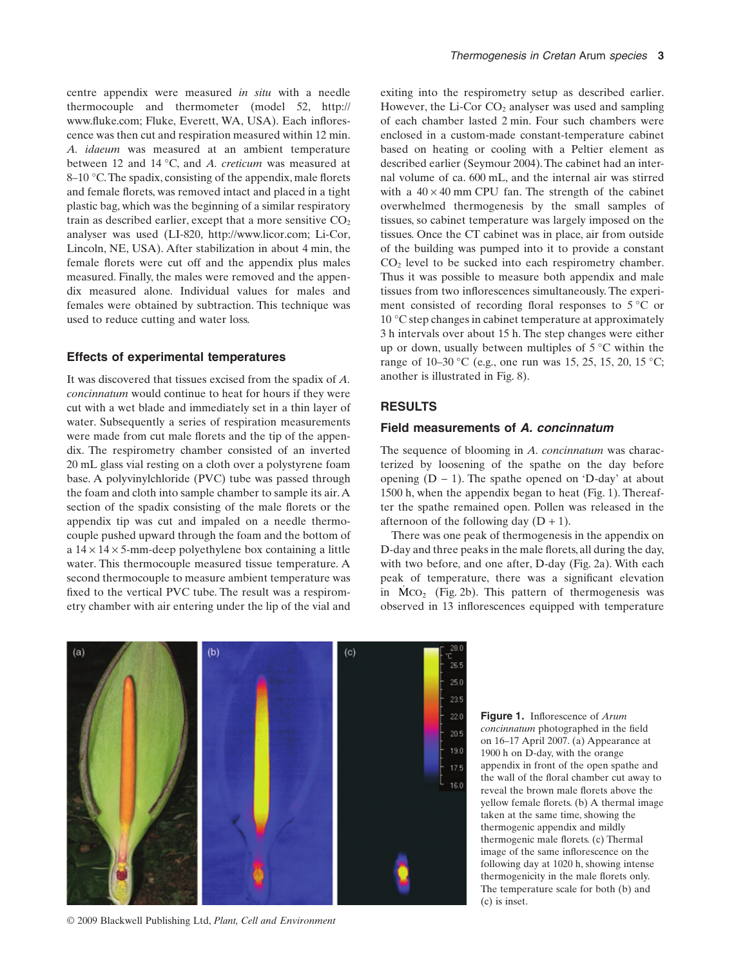centre appendix were measured *in situ* with a needle thermocouple and thermometer (model 52, [http://](http://www.fluke.com) [www.fluke.com;](http://www.fluke.com) Fluke, Everett, WA, USA). Each inflorescence was then cut and respiration measured within 12 min. *A. idaeum* was measured at an ambient temperature between 12 and 14 °C, and *A. creticum* was measured at 8–10 °C.The spadix, consisting of the appendix, male florets and female florets, was removed intact and placed in a tight plastic bag, which was the beginning of a similar respiratory train as described earlier, except that a more sensitive  $CO<sub>2</sub>$ analyser was used (LI-820, [http://www.licor.com;](http://www.licor.com) Li-Cor, Lincoln, NE, USA). After stabilization in about 4 min, the female florets were cut off and the appendix plus males measured. Finally, the males were removed and the appendix measured alone. Individual values for males and females were obtained by subtraction. This technique was used to reduce cutting and water loss.

#### **Effects of experimental temperatures**

It was discovered that tissues excised from the spadix of *A. concinnatum* would continue to heat for hours if they were cut with a wet blade and immediately set in a thin layer of water. Subsequently a series of respiration measurements were made from cut male florets and the tip of the appendix. The respirometry chamber consisted of an inverted 20 mL glass vial resting on a cloth over a polystyrene foam base. A polyvinylchloride (PVC) tube was passed through the foam and cloth into sample chamber to sample its air.A section of the spadix consisting of the male florets or the appendix tip was cut and impaled on a needle thermocouple pushed upward through the foam and the bottom of a  $14 \times 14 \times 5$ -mm-deep polyethylene box containing a little water. This thermocouple measured tissue temperature. A second thermocouple to measure ambient temperature was fixed to the vertical PVC tube. The result was a respirometry chamber with air entering under the lip of the vial and exiting into the respirometry setup as described earlier. However, the Li-Cor  $CO<sub>2</sub>$  analyser was used and sampling of each chamber lasted 2 min. Four such chambers were enclosed in a custom-made constant-temperature cabinet based on heating or cooling with a Peltier element as described earlier (Seymour 2004).The cabinet had an internal volume of ca. 600 mL, and the internal air was stirred with a  $40 \times 40$  mm CPU fan. The strength of the cabinet overwhelmed thermogenesis by the small samples of tissues, so cabinet temperature was largely imposed on the tissues. Once the CT cabinet was in place, air from outside of the building was pumped into it to provide a constant  $CO<sub>2</sub>$  level to be sucked into each respirometry chamber. Thus it was possible to measure both appendix and male tissues from two inflorescences simultaneously. The experiment consisted of recording floral responses to 5 °C or 10 °C step changes in cabinet temperature at approximately 3 h intervals over about 15 h. The step changes were either up or down, usually between multiples of 5 °C within the range of 10–30 °C (e.g., one run was 15, 25, 15, 20, 15 °C; another is illustrated in Fig. 8).

# **RESULTS**

## **Field measurements of** *A. concinnatum*

The sequence of blooming in *A. concinnatum* was characterized by loosening of the spathe on the day before opening  $(D - 1)$ . The spathe opened on 'D-day' at about 1500 h, when the appendix began to heat (Fig. 1). Thereafter the spathe remained open. Pollen was released in the afternoon of the following day  $(D + 1)$ .

There was one peak of thermogenesis in the appendix on D-day and three peaks in the male florets, all during the day, with two before, and one after, D-day (Fig. 2a). With each peak of temperature, there was a significant elevation in  $\dot{M}CO_2$  (Fig. 2b). This pattern of thermogenesis was observed in 13 inflorescences equipped with temperature



© 2009 Blackwell Publishing Ltd, *Plant, Cell and Environment*

**Figure 1.** Inflorescence of *Arum concinnatum* photographed in the field on 16–17 April 2007. (a) Appearance at 1900 h on D-day, with the orange appendix in front of the open spathe and the wall of the floral chamber cut away to reveal the brown male florets above the yellow female florets. (b) A thermal image taken at the same time, showing the thermogenic appendix and mildly thermogenic male florets. (c) Thermal image of the same inflorescence on the following day at 1020 h, showing intense thermogenicity in the male florets only. The temperature scale for both (b) and (c) is inset.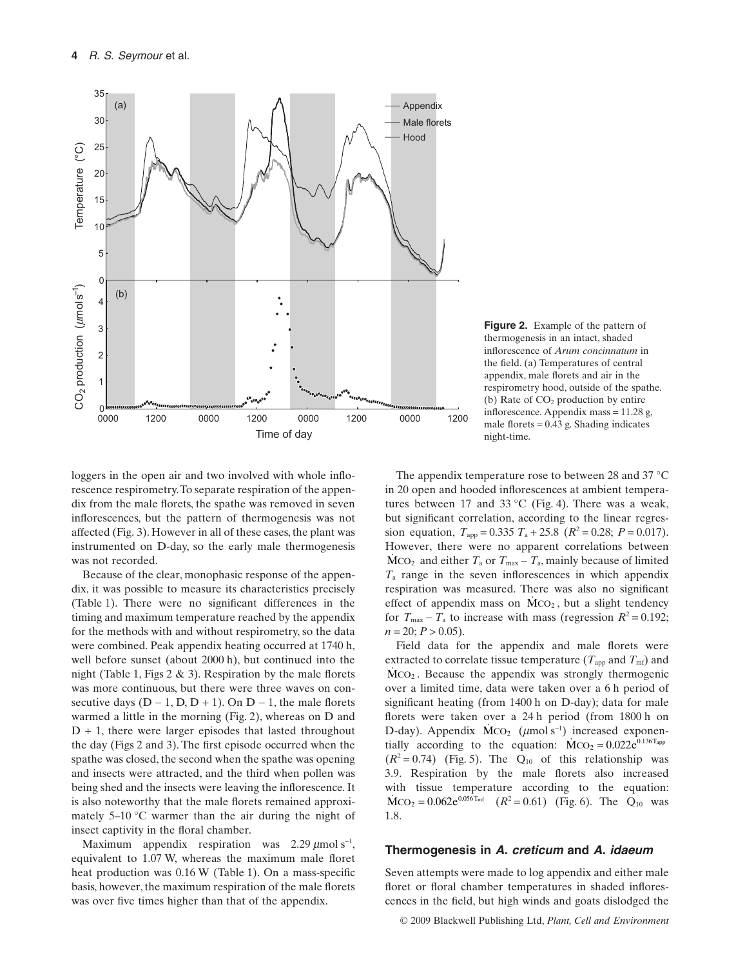

**Figure 2.** Example of the pattern of thermogenesis in an intact, shaded inflorescence of *Arum concinnatum* in the field. (a) Temperatures of central appendix, male florets and air in the respirometry hood, outside of the spathe. (b) Rate of  $CO<sub>2</sub>$  production by entire inflorescence. Appendix mass = 11.28 g, male florets  $= 0.43$  g. Shading indicates night-time.

loggers in the open air and two involved with whole inflorescence respirometry.To separate respiration of the appendix from the male florets, the spathe was removed in seven inflorescences, but the pattern of thermogenesis was not affected (Fig. 3). However in all of these cases, the plant was instrumented on D-day, so the early male thermogenesis was not recorded.

Because of the clear, monophasic response of the appendix, it was possible to measure its characteristics precisely (Table 1). There were no significant differences in the timing and maximum temperature reached by the appendix for the methods with and without respirometry, so the data were combined. Peak appendix heating occurred at 1740 h, well before sunset (about 2000 h), but continued into the night (Table 1, Figs 2 & 3). Respiration by the male florets was more continuous, but there were three waves on consecutive days  $(D - 1, D, D + 1)$ . On  $D - 1$ , the male florets warmed a little in the morning (Fig. 2), whereas on D and  $D + 1$ , there were larger episodes that lasted throughout the day (Figs 2 and 3). The first episode occurred when the spathe was closed, the second when the spathe was opening and insects were attracted, and the third when pollen was being shed and the insects were leaving the inflorescence. It is also noteworthy that the male florets remained approximately  $5-10$  °C warmer than the air during the night of insect captivity in the floral chamber.

Maximum appendix respiration was  $2.29 \mu \text{mol s}^{-1}$ , equivalent to 1.07 W, whereas the maximum male floret heat production was 0.16 W (Table 1). On a mass-specific basis, however, the maximum respiration of the male florets was over five times higher than that of the appendix.

The appendix temperature rose to between 28 and 37 °C in 20 open and hooded inflorescences at ambient temperatures between 17 and 33 °C (Fig. 4). There was a weak, but significant correlation, according to the linear regression equation,  $T_{app} = 0.335 T_a + 25.8 (R^2 = 0.28; P = 0.017)$ . However, there were no apparent correlations between  $\dot{M}CO_2$  and either  $T_a$  or  $T_{\text{max}} - T_a$ , mainly because of limited *T*<sup>a</sup> range in the seven inflorescences in which appendix respiration was measured. There was also no significant effect of appendix mass on  $\dot{M}CO_2$ , but a slight tendency for  $T_{\text{max}} - T_{\text{a}}$  to increase with mass (regression  $R^2 = 0.192$ ;  $n = 20$ ;  $P > 0.05$ ).

Field data for the appendix and male florets were extracted to correlate tissue temperature ( $T_{\text{apo}}$  and  $T_{\text{mf}}$ ) and MCO<sub>2</sub>. Because the appendix was strongly thermogenic over a limited time, data were taken over a 6 h period of significant heating (from 1400 h on D-day); data for male florets were taken over a 24 h period (from 1800 h on D-day). Appendix  $\dot{M}CO_2$  ( $\mu$ mol s<sup>-1</sup>) increased exponentially according to the equation:  $\dot{M}CO_2 = 0.022e^{0.136T_{app}}$  $(R^2 = 0.74)$  (Fig. 5). The  $Q_{10}$  of this relationship was 3.9. Respiration by the male florets also increased with tissue temperature according to the equation:  $\text{MCO}_2 = 0.062 \text{e}^{0.056 \text{T}_{\text{mf}}}$  ( $R^2 = 0.61$ ) (Fig. 6). The Q<sub>10</sub> was 1.8.

#### **Thermogenesis in** *A. creticum* **and** *A. idaeum*

Seven attempts were made to log appendix and either male floret or floral chamber temperatures in shaded inflorescences in the field, but high winds and goats dislodged the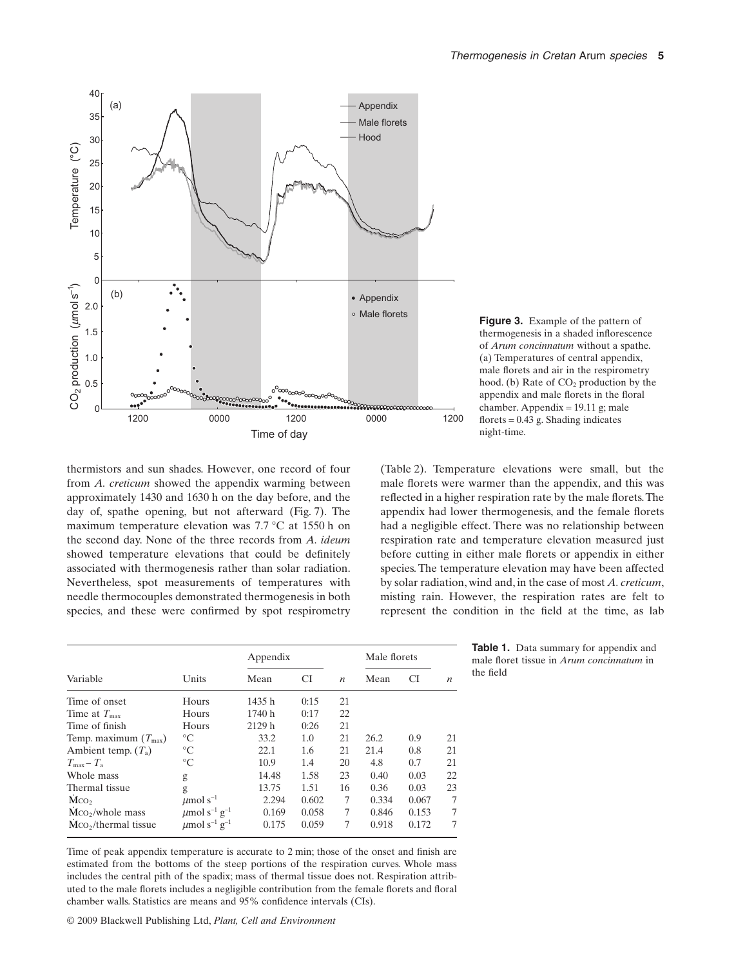

**Figure 3.** Example of the pattern of thermogenesis in a shaded inflorescence of *Arum concinnatum* without a spathe. (a) Temperatures of central appendix, male florets and air in the respirometry hood. (b) Rate of  $CO<sub>2</sub>$  production by the appendix and male florets in the floral chamber. Appendix = 19.11 g; male florets  $= 0.43$  g. Shading indicates night-time.

thermistors and sun shades. However, one record of four from *A. creticum* showed the appendix warming between approximately 1430 and 1630 h on the day before, and the day of, spathe opening, but not afterward (Fig. 7). The maximum temperature elevation was 7.7 °C at 1550 h on the second day. None of the three records from *A. ideum* showed temperature elevations that could be definitely associated with thermogenesis rather than solar radiation. Nevertheless, spot measurements of temperatures with needle thermocouples demonstrated thermogenesis in both species, and these were confirmed by spot respirometry

(Table 2). Temperature elevations were small, but the male florets were warmer than the appendix, and this was reflected in a higher respiration rate by the male florets.The appendix had lower thermogenesis, and the female florets had a negligible effect. There was no relationship between respiration rate and temperature elevation measured just before cutting in either male florets or appendix in either species. The temperature elevation may have been affected by solar radiation, wind and, in the case of most *A. creticum*, misting rain. However, the respiration rates are felt to represent the condition in the field at the time, as lab

|                                  |                                           | Appendix |       | Male florets     |       |       |                  |
|----------------------------------|-------------------------------------------|----------|-------|------------------|-------|-------|------------------|
| Variable                         | Units                                     | Mean     | CI    | $\boldsymbol{n}$ | Mean  | CI    | $\boldsymbol{n}$ |
| Time of onset                    | Hours                                     | 1435h    | 0:15  | 21               |       |       |                  |
| Time at $T_{\text{max}}$         | Hours                                     | 1740h    | 0:17  | 22               |       |       |                  |
| Time of finish                   | Hours                                     | 2129h    | 0:26  | 21               |       |       |                  |
| Temp. maximum $(T_{\text{max}})$ | $^{\circ}C$                               | 33.2     | 1.0   | 21               | 26.2  | 0.9   | 21               |
| Ambient temp. $(T_a)$            | $\rm ^{\circ}C$                           | 22.1     | 1.6   | 21               | 21.4  | 0.8   | 21               |
| $T_{\rm max} - T_{\rm a}$        | $^{\circ}C$                               | 10.9     | 1.4   | 20               | 4.8   | 0.7   | 21               |
| Whole mass                       | g                                         | 14.48    | 1.58  | 23               | 0.40  | 0.03  | 22               |
| Thermal tissue                   | g                                         | 13.75    | 1.51  | 16               | 0.36  | 0.03  | 23               |
| Mco <sub>2</sub>                 | $\mu$ mol s <sup>-1</sup>                 | 2.294    | 0.602 | 7                | 0.334 | 0.067 | 7                |
| $MCO2/whole$ mass                | $\mu$ mol s <sup>-1</sup> g <sup>-1</sup> | 0.169    | 0.058 | 7                | 0.846 | 0.153 | 7                |
| Mco,/thermal tissue              | $\mu$ mol s <sup>-1</sup> g <sup>-1</sup> | 0.175    | 0.059 | 7                | 0.918 | 0.172 | 7                |

Time of peak appendix temperature is accurate to 2 min; those of the onset and finish are estimated from the bottoms of the steep portions of the respiration curves. Whole mass includes the central pith of the spadix; mass of thermal tissue does not. Respiration attributed to the male florets includes a negligible contribution from the female florets and floral chamber walls. Statistics are means and 95% confidence intervals (CIs).

© 2009 Blackwell Publishing Ltd, *Plant, Cell and Environment*

**Table 1.** Data summary for appendix and male floret tissue in *Arum concinnatum* in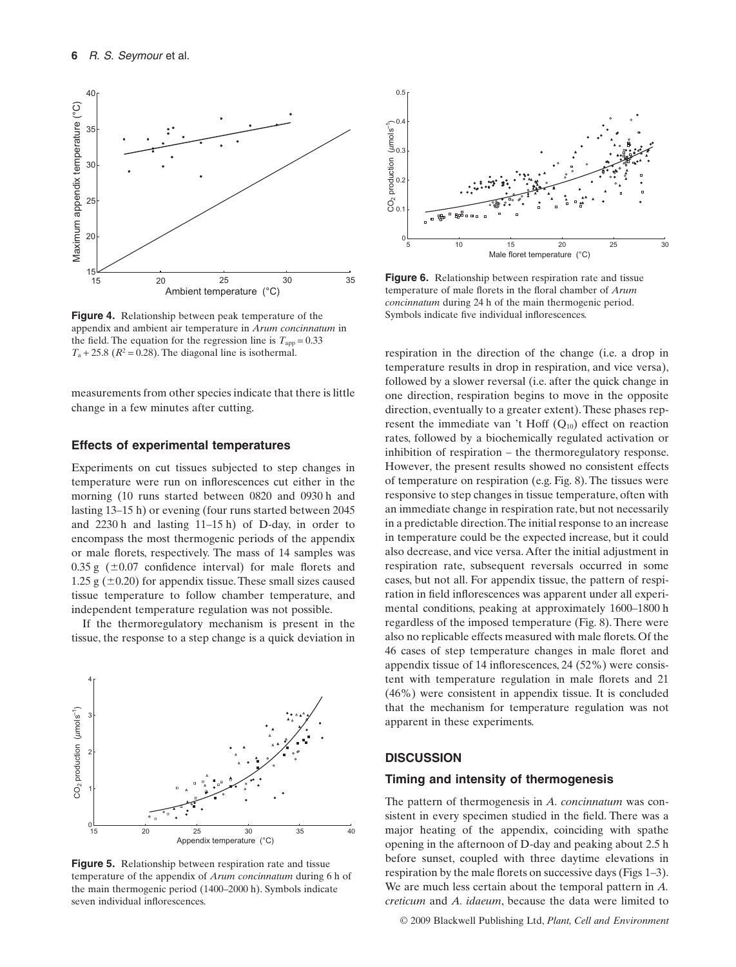

**Figure 4.** Relationship between peak temperature of the appendix and ambient air temperature in *Arum concinnatum* in the field. The equation for the regression line is  $T_{app} = 0.33$  $T_a + 25.8$  ( $R^2 = 0.28$ ). The diagonal line is isothermal.

measurements from other species indicate that there is little change in a few minutes after cutting.

## **Effects of experimental temperatures**

Experiments on cut tissues subjected to step changes in temperature were run on inflorescences cut either in the morning (10 runs started between 0820 and 0930 h and lasting 13–15 h) or evening (four runs started between 2045 and 2230 h and lasting 11–15 h) of D-day, in order to encompass the most thermogenic periods of the appendix or male florets, respectively. The mass of 14 samples was  $0.35 \text{ g}$  ( $\pm 0.07$  confidence interval) for male florets and 1.25 g  $(\pm 0.20)$  for appendix tissue. These small sizes caused tissue temperature to follow chamber temperature, and independent temperature regulation was not possible.

If the thermoregulatory mechanism is present in the tissue, the response to a step change is a quick deviation in



**Figure 5.** Relationship between respiration rate and tissue temperature of the appendix of *Arum concinnatum* during 6 h of the main thermogenic period (1400–2000 h). Symbols indicate seven individual inflorescences.



**Figure 6.** Relationship between respiration rate and tissue temperature of male florets in the floral chamber of *Arum concinnatum* during 24 h of the main thermogenic period. Symbols indicate five individual inflorescences.

respiration in the direction of the change (i.e. a drop in temperature results in drop in respiration, and vice versa), followed by a slower reversal (i.e. after the quick change in one direction, respiration begins to move in the opposite direction, eventually to a greater extent). These phases represent the immediate van 't Hoff  $(Q_{10})$  effect on reaction rates, followed by a biochemically regulated activation or inhibition of respiration – the thermoregulatory response. However, the present results showed no consistent effects of temperature on respiration (e.g. Fig. 8). The tissues were responsive to step changes in tissue temperature, often with an immediate change in respiration rate, but not necessarily in a predictable direction.The initial response to an increase in temperature could be the expected increase, but it could also decrease, and vice versa.After the initial adjustment in respiration rate, subsequent reversals occurred in some cases, but not all. For appendix tissue, the pattern of respiration in field inflorescences was apparent under all experimental conditions, peaking at approximately 1600–1800 h regardless of the imposed temperature (Fig. 8). There were also no replicable effects measured with male florets. Of the 46 cases of step temperature changes in male floret and appendix tissue of 14 inflorescences, 24 (52%) were consistent with temperature regulation in male florets and 21 (46%) were consistent in appendix tissue. It is concluded that the mechanism for temperature regulation was not apparent in these experiments.

## **DISCUSSION**

#### **Timing and intensity of thermogenesis**

The pattern of thermogenesis in *A. concinnatum* was consistent in every specimen studied in the field. There was a major heating of the appendix, coinciding with spathe opening in the afternoon of D-day and peaking about 2.5 h before sunset, coupled with three daytime elevations in respiration by the male florets on successive days (Figs 1–3). We are much less certain about the temporal pattern in *A. creticum* and *A. idaeum*, because the data were limited to

© 2009 Blackwell Publishing Ltd, *Plant, Cell and Environment*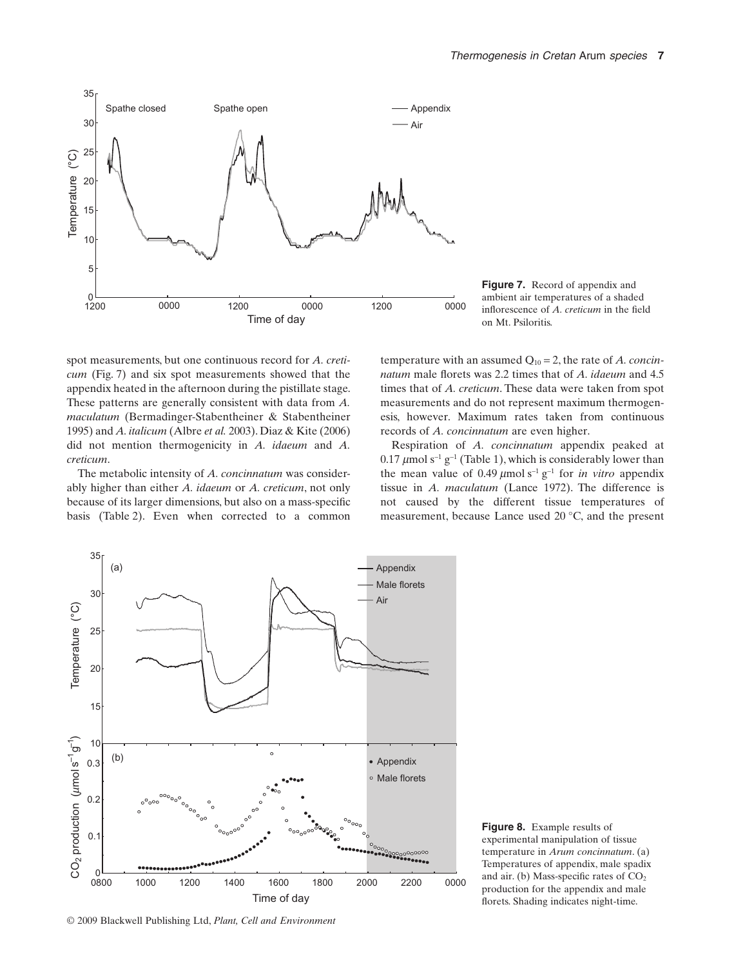

**Figure 7.** Record of appendix and ambient air temperatures of a shaded inflorescence of *A. creticum* in the field

spot measurements, but one continuous record for *A. creticum* (Fig. 7) and six spot measurements showed that the appendix heated in the afternoon during the pistillate stage. These patterns are generally consistent with data from *A. maculatum* (Bermadinger-Stabentheiner & Stabentheiner 1995) and *A. italicum* (Albre *et al.* 2003). Diaz & Kite (2006) did not mention thermogenicity in *A. idaeum* and *A. creticum*.

The metabolic intensity of *A. concinnatum* was considerably higher than either *A. idaeum* or *A. creticum*, not only because of its larger dimensions, but also on a mass-specific basis (Table 2). Even when corrected to a common

temperature with an assumed Q10 = 2, the rate of *A. concinnatum* male florets was 2.2 times that of *A. idaeum* and 4.5 times that of *A. creticum*. These data were taken from spot measurements and do not represent maximum thermogenesis, however. Maximum rates taken from continuous records of *A. concinnatum* are even higher.

Respiration of *A. concinnatum* appendix peaked at 0.17  $\mu$ mol s<sup>-1</sup> g<sup>-1</sup> (Table 1), which is considerably lower than the mean value of 0.49  $\mu$ mol s<sup>-1</sup> g<sup>-1</sup> for *in vitro* appendix tissue in *A. maculatum* (Lance 1972). The difference is not caused by the different tissue temperatures of measurement, because Lance used 20 °C, and the present



**Figure 8.** Example results of experimental manipulation of tissue temperature in *Arum concinnatum*. (a) Temperatures of appendix, male spadix and air. (b) Mass-specific rates of  $CO<sub>2</sub>$ production for the appendix and male florets. Shading indicates night-time.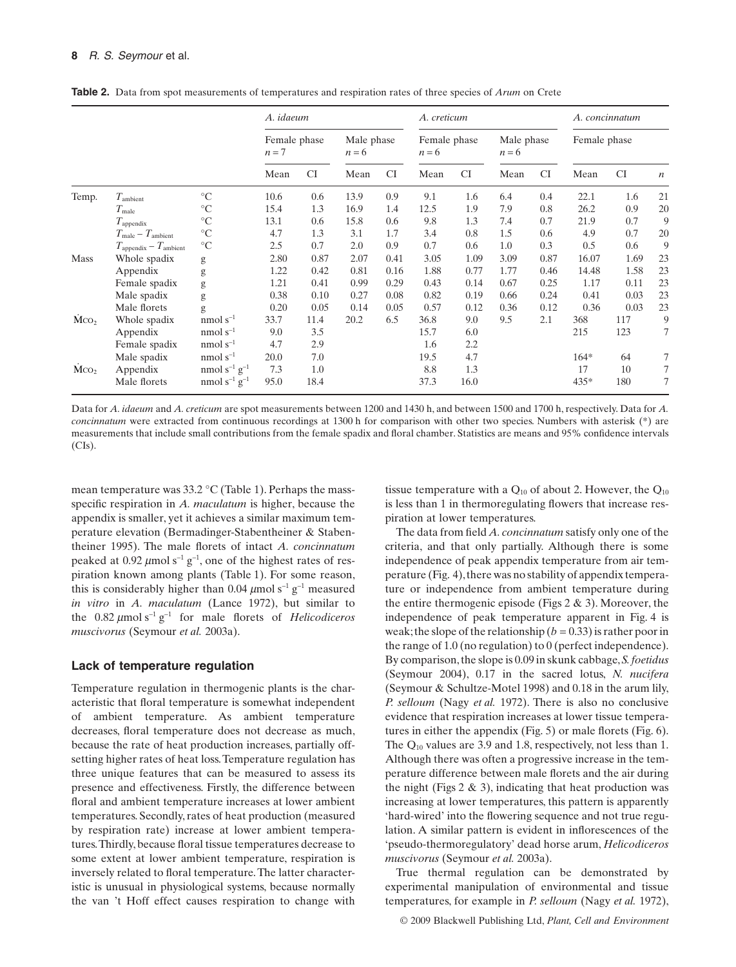|                  |                                            |                               | A. idaeum             |      |                       |           | A. creticum             |           |                       |           | A. concinnatum |           |                  |
|------------------|--------------------------------------------|-------------------------------|-----------------------|------|-----------------------|-----------|-------------------------|-----------|-----------------------|-----------|----------------|-----------|------------------|
|                  |                                            |                               | Female phase<br>$n=7$ |      | Male phase<br>$n = 6$ |           | Female phase<br>$n = 6$ |           | Male phase<br>$n = 6$ |           | Female phase   |           |                  |
|                  |                                            |                               | Mean                  | CI   | Mean                  | <b>CI</b> | Mean                    | <b>CI</b> | Mean                  | <b>CI</b> | Mean           | <b>CI</b> | $\boldsymbol{n}$ |
| Temp.            | $T_{\rm ambient}$                          | $\rm ^{\circ}C$               | 10.6                  | 0.6  | 13.9                  | 0.9       | 9.1                     | 1.6       | 6.4                   | 0.4       | 22.1           | 1.6       | 21               |
|                  | $T_{\rm male}$                             | $^{\circ}C$                   | 15.4                  | 1.3  | 16.9                  | 1.4       | 12.5                    | 1.9       | 7.9                   | 0.8       | 26.2           | 0.9       | 20               |
|                  | $T_{\rm appendix}$                         | $\rm ^{\circ}C$               | 13.1                  | 0.6  | 15.8                  | 0.6       | 9.8                     | 1.3       | 7.4                   | 0.7       | 21.9           | 0.7       | 9                |
|                  | $T_{\text{male}} - T_{\text{ambient}}$     | $\rm ^{\circ}C$               | 4.7                   | 1.3  | 3.1                   | 1.7       | 3.4                     | 0.8       | 1.5                   | 0.6       | 4.9            | 0.7       | 20               |
|                  | $T_{\text{appendix}} - T_{\text{ambient}}$ | $\rm ^{\circ}C$               | 2.5                   | 0.7  | 2.0                   | 0.9       | 0.7                     | 0.6       | 1.0                   | 0.3       | 0.5            | 0.6       | 9                |
| Mass             | Whole spadix                               | g                             | 2.80                  | 0.87 | 2.07                  | 0.41      | 3.05                    | 1.09      | 3.09                  | 0.87      | 16.07          | 1.69      | 23               |
|                  | Appendix                                   | g                             | 1.22                  | 0.42 | 0.81                  | 0.16      | 1.88                    | 0.77      | 1.77                  | 0.46      | 14.48          | 1.58      | 23               |
|                  | Female spadix                              | g                             | 1.21                  | 0.41 | 0.99                  | 0.29      | 0.43                    | 0.14      | 0.67                  | 0.25      | 1.17           | 0.11      | 23               |
|                  | Male spadix                                | g                             | 0.38                  | 0.10 | 0.27                  | 0.08      | 0.82                    | 0.19      | 0.66                  | 0.24      | 0.41           | 0.03      | 23               |
|                  | Male florets                               | g                             | 0.20                  | 0.05 | 0.14                  | 0.05      | 0.57                    | 0.12      | 0.36                  | 0.12      | 0.36           | 0.03      | 23               |
| Mco <sub>2</sub> | Whole spadix                               | nmol $s^{-1}$                 | 33.7                  | 11.4 | 20.2                  | 6.5       | 36.8                    | 9.0       | 9.5                   | 2.1       | 368            | 117       | 9                |
|                  | Appendix                                   | nmol $s^{-1}$                 | 9.0                   | 3.5  |                       |           | 15.7                    | 6.0       |                       |           | 215            | 123       | 7                |
|                  | Female spadix                              | nmol $s^{-1}$                 | 4.7                   | 2.9  |                       |           | 1.6                     | 2.2       |                       |           |                |           |                  |
|                  | Male spadix                                | nmol $s^{-1}$                 | 20.0                  | 7.0  |                       |           | 19.5                    | 4.7       |                       |           | $164*$         | 64        | 7                |
| $\rm MCO_2$      | Appendix                                   | nmol $s^{-1}$ $g^{-1}$        | 7.3                   | 1.0  |                       |           | 8.8                     | 1.3       |                       |           | 17             | 10        | 7                |
|                  | Male florets                               | nmol s <sup>-1</sup> $g^{-1}$ | 95.0                  | 18.4 |                       |           | 37.3                    | 16.0      |                       |           | 435*           | 180       | 7                |

**Table 2.** Data from spot measurements of temperatures and respiration rates of three species of *Arum* on Crete

Data for *A. idaeum* and *A. creticum* are spot measurements between 1200 and 1430 h, and between 1500 and 1700 h, respectively. Data for *A. concinnatum* were extracted from continuous recordings at 1300 h for comparison with other two species. Numbers with asterisk (\*) are measurements that include small contributions from the female spadix and floral chamber. Statistics are means and 95% confidence intervals (CIs).

mean temperature was 33.2 °C (Table 1). Perhaps the massspecific respiration in *A. maculatum* is higher, because the appendix is smaller, yet it achieves a similar maximum temperature elevation (Bermadinger-Stabentheiner & Stabentheiner 1995). The male florets of intact *A. concinnatum* peaked at 0.92  $\mu$ mol s<sup>-1</sup> g<sup>-1</sup>, one of the highest rates of respiration known among plants (Table 1). For some reason, this is considerably higher than 0.04  $\mu$ mol s<sup>-1</sup> g<sup>-1</sup> measured *in vitro* in *A. maculatum* (Lance 1972), but similar to the  $0.82 \mu$ mol s<sup>-1</sup> g<sup>-1</sup> for male florets of *Helicodiceros muscivorus* (Seymour *et al.* 2003a).

#### **Lack of temperature regulation**

Temperature regulation in thermogenic plants is the characteristic that floral temperature is somewhat independent of ambient temperature. As ambient temperature decreases, floral temperature does not decrease as much, because the rate of heat production increases, partially offsetting higher rates of heat loss.Temperature regulation has three unique features that can be measured to assess its presence and effectiveness. Firstly, the difference between floral and ambient temperature increases at lower ambient temperatures. Secondly, rates of heat production (measured by respiration rate) increase at lower ambient temperatures.Thirdly, because floral tissue temperatures decrease to some extent at lower ambient temperature, respiration is inversely related to floral temperature.The latter characteristic is unusual in physiological systems, because normally the van 't Hoff effect causes respiration to change with tissue temperature with a  $Q_{10}$  of about 2. However, the  $Q_{10}$ is less than 1 in thermoregulating flowers that increase respiration at lower temperatures.

The data from field *A. concinnatum* satisfy only one of the criteria, and that only partially. Although there is some independence of peak appendix temperature from air temperature (Fig. 4), there was no stability of appendix temperature or independence from ambient temperature during the entire thermogenic episode (Figs  $2 \& 3$ ). Moreover, the independence of peak temperature apparent in Fig. 4 is weak; the slope of the relationship ( $b = 0.33$ ) is rather poor in the range of 1.0 (no regulation) to 0 (perfect independence). By comparison, the slope is 0.09 in skunk cabbage,*S. foetidus* (Seymour 2004), 0.17 in the sacred lotus, *N. nucifera* (Seymour & Schultze-Motel 1998) and 0.18 in the arum lily, *P. selloum* (Nagy *et al.* 1972). There is also no conclusive evidence that respiration increases at lower tissue temperatures in either the appendix (Fig. 5) or male florets (Fig. 6). The Q10 values are 3.9 and 1.8, respectively, not less than 1. Although there was often a progressive increase in the temperature difference between male florets and the air during the night (Figs  $2 \& 3$ ), indicating that heat production was increasing at lower temperatures, this pattern is apparently 'hard-wired' into the flowering sequence and not true regulation. A similar pattern is evident in inflorescences of the 'pseudo-thermoregulatory' dead horse arum, *Helicodiceros muscivorus* (Seymour *et al.* 2003a).

True thermal regulation can be demonstrated by experimental manipulation of environmental and tissue temperatures, for example in *P. selloum* (Nagy *et al.* 1972),

© 2009 Blackwell Publishing Ltd, *Plant, Cell and Environment*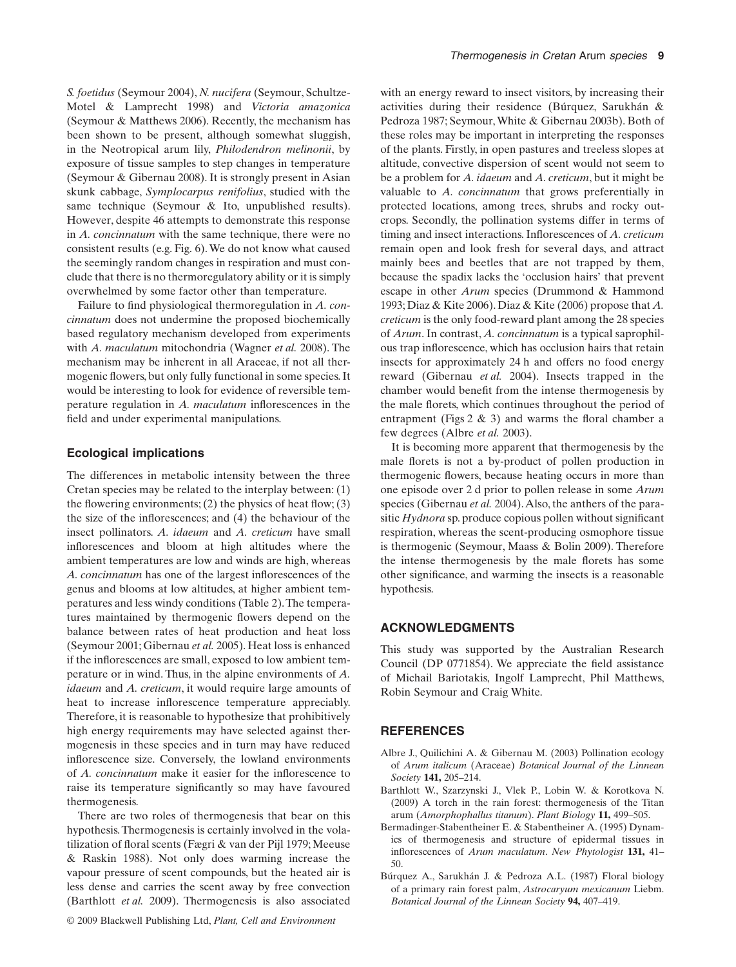*S. foetidus* (Seymour 2004), *N. nucifera* (Seymour, Schultze-Motel & Lamprecht 1998) and *Victoria amazonica* (Seymour & Matthews 2006). Recently, the mechanism has been shown to be present, although somewhat sluggish, in the Neotropical arum lily, *Philodendron melinonii*, by exposure of tissue samples to step changes in temperature (Seymour & Gibernau 2008). It is strongly present in Asian skunk cabbage, *Symplocarpus renifolius*, studied with the same technique (Seymour & Ito, unpublished results). However, despite 46 attempts to demonstrate this response in *A. concinnatum* with the same technique, there were no consistent results (e.g. Fig. 6).We do not know what caused the seemingly random changes in respiration and must conclude that there is no thermoregulatory ability or it is simply overwhelmed by some factor other than temperature.

Failure to find physiological thermoregulation in *A. concinnatum* does not undermine the proposed biochemically based regulatory mechanism developed from experiments with *A. maculatum* mitochondria (Wagner *et al.* 2008). The mechanism may be inherent in all Araceae, if not all thermogenic flowers, but only fully functional in some species. It would be interesting to look for evidence of reversible temperature regulation in *A. maculatum* inflorescences in the field and under experimental manipulations.

#### **Ecological implications**

The differences in metabolic intensity between the three Cretan species may be related to the interplay between: (1) the flowering environments; (2) the physics of heat flow; (3) the size of the inflorescences; and (4) the behaviour of the insect pollinators. *A. idaeum* and *A. creticum* have small inflorescences and bloom at high altitudes where the ambient temperatures are low and winds are high, whereas *A. concinnatum* has one of the largest inflorescences of the genus and blooms at low altitudes, at higher ambient temperatures and less windy conditions (Table 2).The temperatures maintained by thermogenic flowers depend on the balance between rates of heat production and heat loss (Seymour 2001; Gibernau *et al.* 2005). Heat loss is enhanced if the inflorescences are small, exposed to low ambient temperature or in wind. Thus, in the alpine environments of *A. idaeum* and *A. creticum*, it would require large amounts of heat to increase inflorescence temperature appreciably. Therefore, it is reasonable to hypothesize that prohibitively high energy requirements may have selected against thermogenesis in these species and in turn may have reduced inflorescence size. Conversely, the lowland environments of *A. concinnatum* make it easier for the inflorescence to raise its temperature significantly so may have favoured thermogenesis.

There are two roles of thermogenesis that bear on this hypothesis. Thermogenesis is certainly involved in the volatilization of floral scents (Fægri & van der Pijl 1979; Meeuse & Raskin 1988). Not only does warming increase the vapour pressure of scent compounds, but the heated air is less dense and carries the scent away by free convection (Barthlott *et al.* 2009). Thermogenesis is also associated with an energy reward to insect visitors, by increasing their activities during their residence (Búrquez, Sarukhán & Pedroza 1987; Seymour,White & Gibernau 2003b). Both of these roles may be important in interpreting the responses of the plants. Firstly, in open pastures and treeless slopes at altitude, convective dispersion of scent would not seem to be a problem for *A. idaeum* and *A. creticum*, but it might be valuable to *A. concinnatum* that grows preferentially in protected locations, among trees, shrubs and rocky outcrops. Secondly, the pollination systems differ in terms of timing and insect interactions. Inflorescences of *A. creticum* remain open and look fresh for several days, and attract mainly bees and beetles that are not trapped by them, because the spadix lacks the 'occlusion hairs' that prevent escape in other *Arum* species (Drummond & Hammond 1993; Diaz & Kite 2006). Diaz & Kite (2006) propose that *A. creticum* is the only food-reward plant among the 28 species of *Arum*. In contrast, *A. concinnatum* is a typical saprophilous trap inflorescence, which has occlusion hairs that retain insects for approximately 24 h and offers no food energy reward (Gibernau *et al.* 2004). Insects trapped in the chamber would benefit from the intense thermogenesis by the male florets, which continues throughout the period of entrapment (Figs  $2 \& 3$ ) and warms the floral chamber a few degrees (Albre *et al.* 2003).

It is becoming more apparent that thermogenesis by the male florets is not a by-product of pollen production in thermogenic flowers, because heating occurs in more than one episode over 2 d prior to pollen release in some *Arum* species (Gibernau et al. 2004). Also, the anthers of the parasitic *Hydnora* sp. produce copious pollen without significant respiration, whereas the scent-producing osmophore tissue is thermogenic (Seymour, Maass & Bolin 2009). Therefore the intense thermogenesis by the male florets has some other significance, and warming the insects is a reasonable hypothesis.

## **ACKNOWLEDGMENTS**

This study was supported by the Australian Research Council (DP 0771854). We appreciate the field assistance of Michail Bariotakis, Ingolf Lamprecht, Phil Matthews, Robin Seymour and Craig White.

## **REFERENCES**

- Albre J., Quilichini A. & Gibernau M. (2003) Pollination ecology of *Arum italicum* (Araceae) *Botanical Journal of the Linnean Society* **141,** 205–214.
- Barthlott W., Szarzynski J., Vlek P., Lobin W. & Korotkova N. (2009) A torch in the rain forest: thermogenesis of the Titan arum (*Amorphophallus titanum*). *Plant Biology* **11,** 499–505.
- Bermadinger-Stabentheiner E. & Stabentheiner A. (1995) Dynamics of thermogenesis and structure of epidermal tissues in inflorescences of *Arum maculatum*. *New Phytologist* **131,** 41– 50.
- Búrquez A., Sarukhán J. & Pedroza A.L. (1987) Floral biology of a primary rain forest palm, *Astrocaryum mexicanum* Liebm. *Botanical Journal of the Linnean Society* **94,** 407–419.